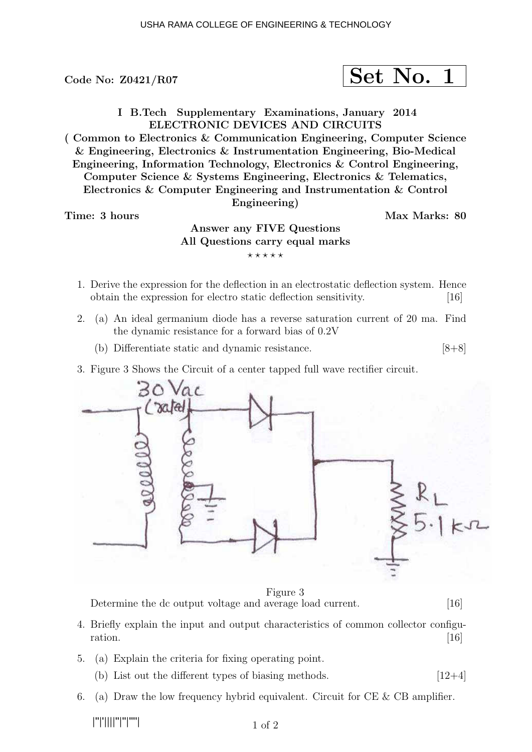Code No:  $Z0421/R07$ 

$$
\fbox{Set No. 1}
$$

I B.Tech Supplementary Examinations, January 2014 ELECTRONIC DEVICES AND CIRCUITS

( Common to Electronics & Communication Engineering, Computer Science & Engineering, Electronics & Instrumentation Engineering, Bio-Medical Engineering, Information Technology, Electronics & Control Engineering, Computer Science & Systems Engineering, Electronics & Telematics, Electronics & Computer Engineering and Instrumentation & Control Engineering)

## Time: 3 hours and the set of the set of the Max Marks: 80

## Answer any FIVE Questions All Questions carry equal marks  $***$ \*\*

- 1. Derive the expression for the deflection in an electrostatic deflection system. Hence obtain the expression for electro static deflection sensitivity. [16]
- 2. (a) An ideal germanium diode has a reverse saturation current of 20 ma. Find the dynamic resistance for a forward bias of 0.2V
	- (b) Differentiate static and dynamic resistance. [8+8]
- 3. Figure 3 Shows the Circuit of a center tapped full wave rectifier circuit.



Figure 3 Determine the dc output voltage and average load current. [16]

- 4. Briefly explain the input and output characteristics of common collector configu $ration.$  [16]
- 5. (a) Explain the criteria for fixing operating point.
	- (b) List out the different types of biasing methods.  $[12+4]$
- 6. (a) Draw the low frequency hybrid equivalent. Circuit for  $CE \& CB$  amplifier.

|''|'||||''|''|''''|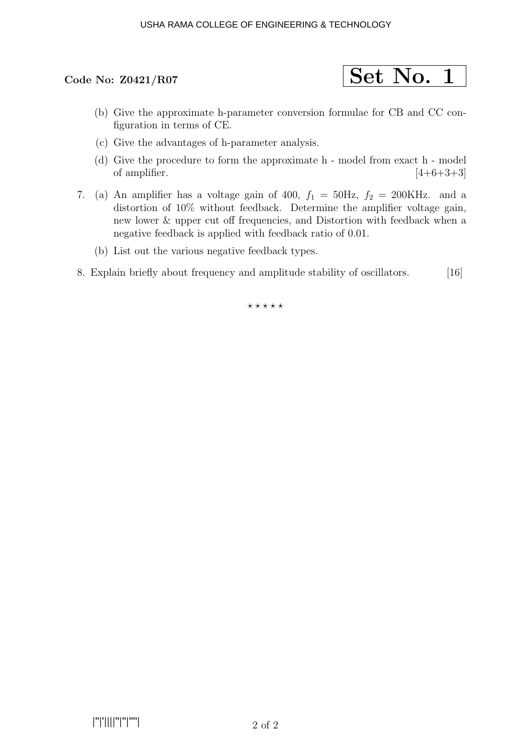# Code No:  $Z0421/R07$  Set No. 1

- (b) Give the approximate h-parameter conversion formulae for CB and CC configuration in terms of CE.
- (c) Give the advantages of h-parameter analysis.
- (d) Give the procedure to form the approximate h model from exact h model of amplifier.  $[4+6+3+3]$
- 7. (a) An amplifier has a voltage gain of 400,  $f_1 = 50$ Hz,  $f_2 = 200$ KHz. and a distortion of 10% without feedback. Determine the amplifier voltage gain, new lower & upper cut off frequencies, and Distortion with feedback when a negative feedback is applied with feedback ratio of 0.01.
	- (b) List out the various negative feedback types.
- 8. Explain briefly about frequency and amplitude stability of oscillators. [16]

 $***$ \*\*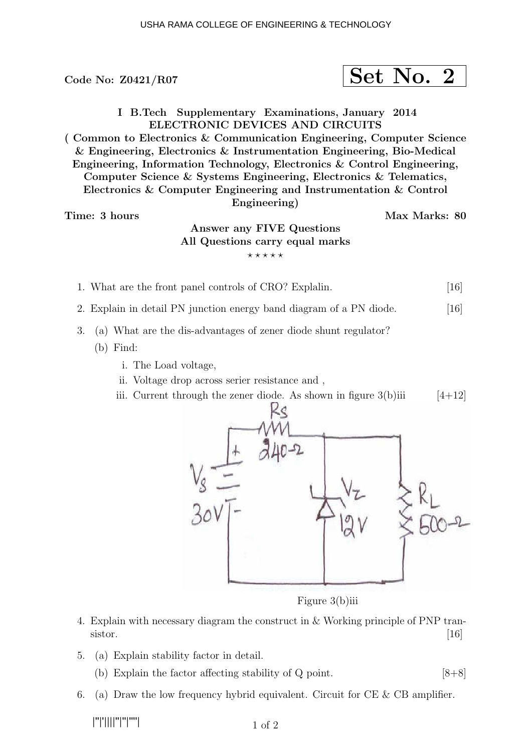Code No:  $\text{Z0421/RO7}$  Set No. 2 I B.Tech Supplementary Examinations, January 2014 ELECTRONIC DEVICES AND CIRCUITS ( Common to Electronics & Communication Engineering, Computer Science & Engineering, Electronics & Instrumentation Engineering, Bio-Medical Engineering, Information Technology, Electronics & Control Engineering, Computer Science & Systems Engineering, Electronics & Telematics, Electronics & Computer Engineering and Instrumentation & Control Engineering) Time: 3 hours and the set of the set of the Max Marks: 80 Answer any FIVE Questions All Questions carry equal marks  $***$ \*\* 1. What are the front panel controls of CRO? Explalin. [16] 2. Explain in detail PN junction energy band diagram of a PN diode. [16] 3. (a) What are the dis-advantages of zener diode shunt regulator? (b) Find: i. The Load voltage, ii. Voltage drop across serier resistance and , iii. Current through the zener diode. As shown in figure  $3(b)$ iii [4+12]

Figure 3(b)iii

- 4. Explain with necessary diagram the construct in & Working principle of PNP transistor.  $[16]$
- 5. (a) Explain stability factor in detail.
	- (b) Explain the factor affecting stability of  $Q$  point. [8+8]
- 6. (a) Draw the low frequency hybrid equivalent. Circuit for  $CE \& CB$  amplifier.

|''|'||||''|''|''''|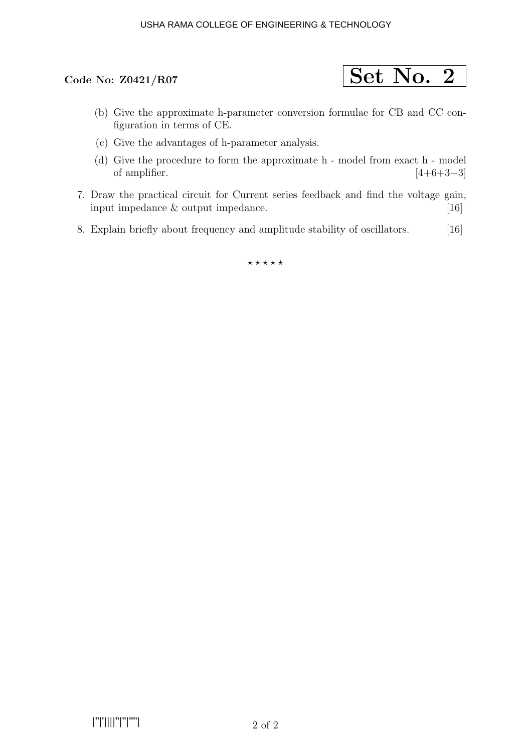

- (b) Give the approximate h-parameter conversion formulae for CB and CC configuration in terms of CE.
- (c) Give the advantages of h-parameter analysis.
- (d) Give the procedure to form the approximate h model from exact h model of amplifier.  $[4+6+3+3]$
- 7. Draw the practical circuit for Current series feedback and find the voltage gain, input impedance & output impedance. [16]
- 8. Explain briefly about frequency and amplitude stability of oscillators. [16]

 $***$ \*\*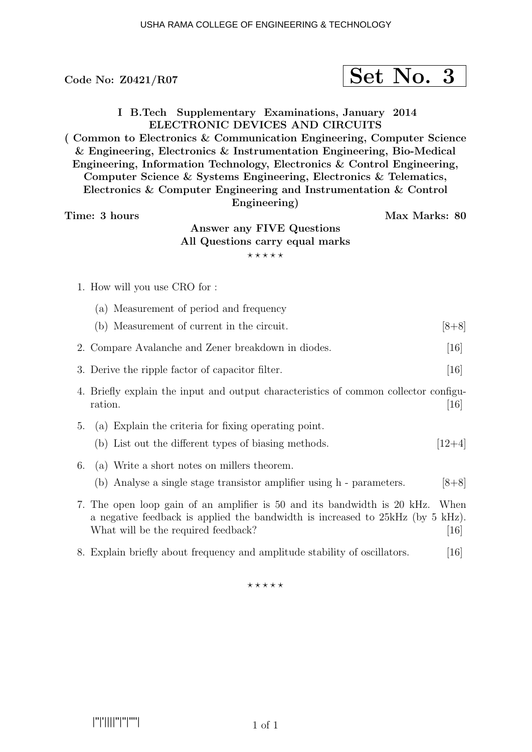## Code No:  $Z0421/R07$  Set No. 3

I B.Tech Supplementary Examinations, January 2014 ELECTRONIC DEVICES AND CIRCUITS

( Common to Electronics & Communication Engineering, Computer Science & Engineering, Electronics & Instrumentation Engineering, Bio-Medical Engineering, Information Technology, Electronics & Control Engineering, Computer Science & Systems Engineering, Electronics & Telematics, Electronics & Computer Engineering and Instrumentation & Control

Engineering)

Time: 3 hours Max Marks: 80

## Answer any FIVE Questions All Questions carry equal marks  $***$ \*\*

1. How will you use CRO for :

|    | (a) Measurement of period and frequency                                                                                                                                                            |                           |
|----|----------------------------------------------------------------------------------------------------------------------------------------------------------------------------------------------------|---------------------------|
|    | (b) Measurement of current in the circuit.                                                                                                                                                         | $[8+8]$                   |
|    | 2. Compare Avalanche and Zener breakdown in diodes.                                                                                                                                                | $\left[16\right]$         |
|    | 3. Derive the ripple factor of capacitor filter.                                                                                                                                                   | $\left[16\right]$         |
|    | 4. Briefly explain the input and output characteristics of common collector configu-<br>ration.                                                                                                    | 16                        |
| 5. | (a) Explain the criteria for fixing operating point.<br>(b) List out the different types of biasing methods.                                                                                       | $ 12+4 $                  |
| 6. | (a) Write a short notes on millers theorem.<br>(b) Analyse a single stage transistor amplifier using h - parameters.                                                                               | $[8+8]$                   |
|    | 7. The open loop gain of an amplifier is 50 and its bandwidth is 20 kHz.<br>a negative feedback is applied the bandwidth is increased to 25 kHz (by 5 kHz).<br>What will be the required feedback? | When<br>$\left[16\right]$ |
|    | 8. Explain briefly about frequency and amplitude stability of oscillators.                                                                                                                         | 16                        |

 $* * * * * * *$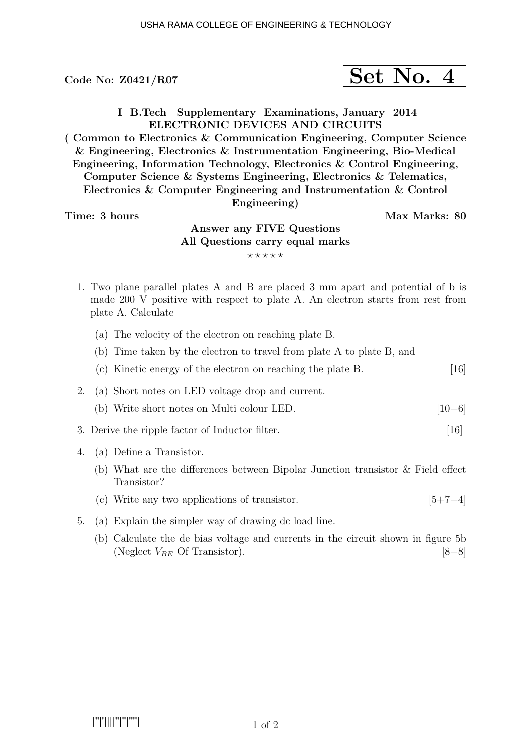Code No:  $Z0421/R07$ 

$$
\fbox{Set No. 4}
$$

I B.Tech Supplementary Examinations, January 2014 ELECTRONIC DEVICES AND CIRCUITS

( Common to Electronics & Communication Engineering, Computer Science & Engineering, Electronics & Instrumentation Engineering, Bio-Medical Engineering, Information Technology, Electronics & Control Engineering, Computer Science & Systems Engineering, Electronics & Telematics, Electronics & Computer Engineering and Instrumentation & Control

Engineering)

Time: 3 hours and the set of the set of the Max Marks: 80

## Answer any FIVE Questions All Questions carry equal marks  $***$ \*\*

- 1. Two plane parallel plates A and B are placed 3 mm apart and potential of b is made 200 V positive with respect to plate A. An electron starts from rest from plate A. Calculate
	- (a) The velocity of the electron on reaching plate B.
	- (b) Time taken by the electron to travel from plate A to plate B, and
	- (c) Kinetic energy of the electron on reaching the plate B. [16]
- 2. (a) Short notes on LED voltage drop and current.
	- (b) Write short notes on Multi colour LED.  $[10+6]$
- 3. Derive the ripple factor of Inductor filter. [16]
- 4. (a) Define a Transistor.
	- (b) What are the differences between Bipolar Junction transistor & Field effect Transistor?
	- (c) Write any two applications of transistor.  $[5+7+4]$
- 5. (a) Explain the simpler way of drawing dc load line.
	- (b) Calculate the de bias voltage and currents in the circuit shown in figure 5b (Neglect  $V_{BE}$  Of Transistor). [8+8]